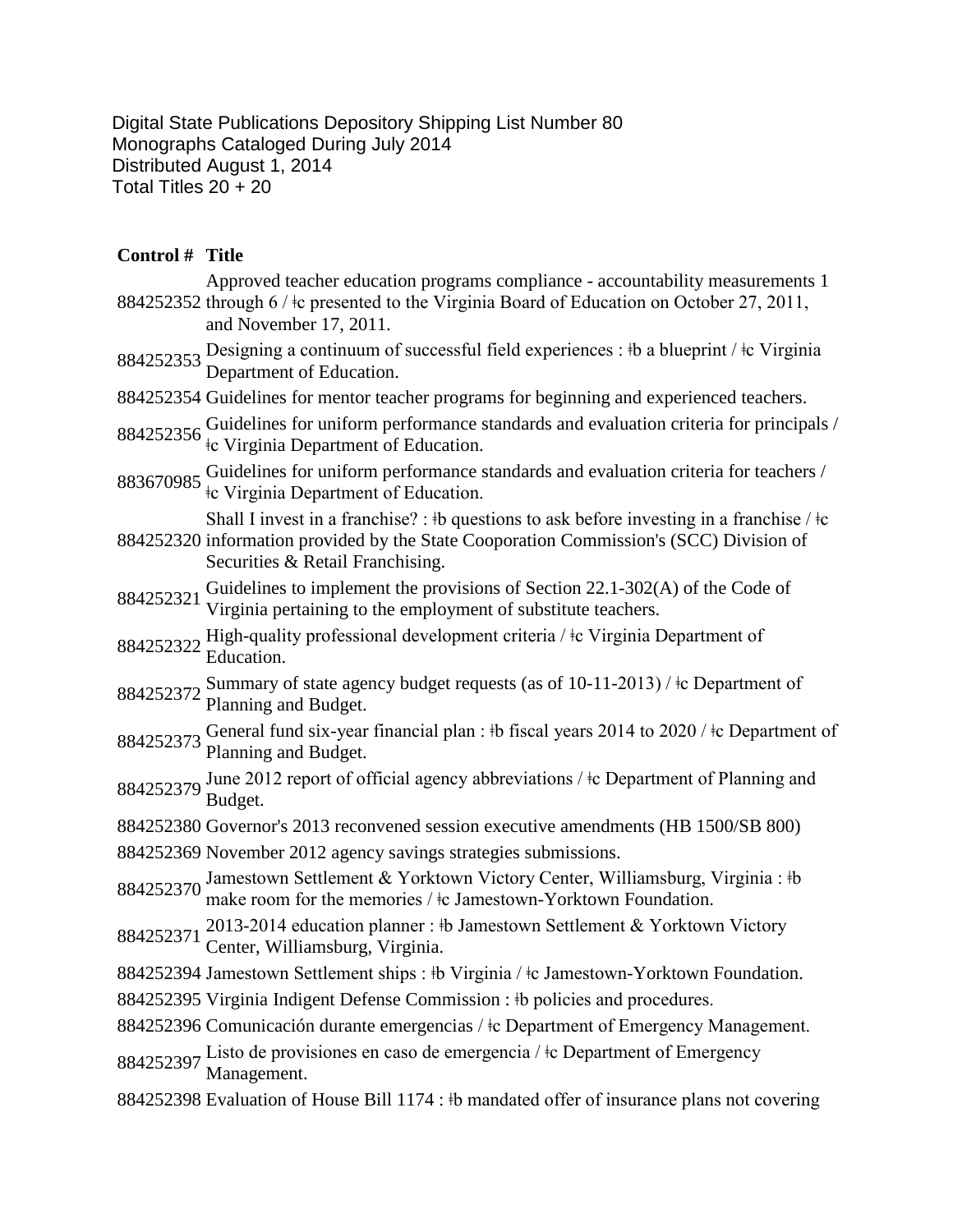Digital State Publications Depository Shipping List Number 80 Monographs Cataloged During July 2014 Distributed August 1, 2014 Total Titles 20 + 20

## **Control # Title**

|           | Approved teacher education programs compliance - accountability measurements 1<br>884252352 through 6 / ‡c presented to the Virginia Board of Education on October 27, 2011,<br>and November 17, 2011.                       |
|-----------|------------------------------------------------------------------------------------------------------------------------------------------------------------------------------------------------------------------------------|
|           | 884252353 Designing a continuum of successful field experiences : $\frac{1}{2}$ b a blueprint / $\frac{1}{2}$ Virginia<br>Department of Education.                                                                           |
|           | 884252354 Guidelines for mentor teacher programs for beginning and experienced teachers.                                                                                                                                     |
| 884252356 | Guidelines for uniform performance standards and evaluation criteria for principals /<br>te Virginia Department of Education.                                                                                                |
| 883670985 | Guidelines for uniform performance standards and evaluation criteria for teachers /<br>the Virginia Department of Education.                                                                                                 |
|           | Shall I invest in a franchise? : #b questions to ask before investing in a franchise / $\pm c$<br>884252320 information provided by the State Cooporation Commission's (SCC) Division of<br>Securities & Retail Franchising. |
| 884252321 | Guidelines to implement the provisions of Section 22.1-302(A) of the Code of<br>Virginia pertaining to the employment of substitute teachers.                                                                                |
| 884252322 | High-quality professional development criteria / ‡c Virginia Department of<br>Education.                                                                                                                                     |
| 884252372 | Summary of state agency budget requests (as of $10-11-2013$ ) / $\pm c$ Department of<br>Planning and Budget.                                                                                                                |
| 884252373 | General fund six-year financial plan : $\frac{1}{2}$ fiscal years 2014 to 2020 / $\frac{1}{2}$ C Department of<br>Planning and Budget.                                                                                       |
| 884252379 | June 2012 report of official agency abbreviations / $\pm$ Department of Planning and<br>Budget.                                                                                                                              |
|           | 884252380 Governor's 2013 reconvened session executive amendments (HB 1500/SB 800)                                                                                                                                           |
|           | 884252369 November 2012 agency savings strategies submissions.                                                                                                                                                               |
| 884252370 | Jamestown Settlement & Yorktown Victory Center, Williamsburg, Virginia : #b<br>make room for the memories $/$ ‡c Jamestown-Yorktown Foundation.                                                                              |
| 884252371 | 2013-2014 education planner: #b Jamestown Settlement & Yorktown Victory<br>Center, Williamsburg, Virginia.                                                                                                                   |
|           | 884252394 Jamestown Settlement ships : #b Virginia / #c Jamestown-Yorktown Foundation.                                                                                                                                       |
|           | 884252395 Virginia Indigent Defense Commission : #b policies and procedures.                                                                                                                                                 |
|           | 884252396 Comunicación durante emergencias / ‡c Department of Emergency Management.                                                                                                                                          |
|           | 884252397 Listo de provisiones en caso de emergencia / ‡c Department of Emergency<br>Management.                                                                                                                             |
|           | 884252398 Evaluation of House Bill 1174 : ‡b mandated offer of insurance plans not covering                                                                                                                                  |